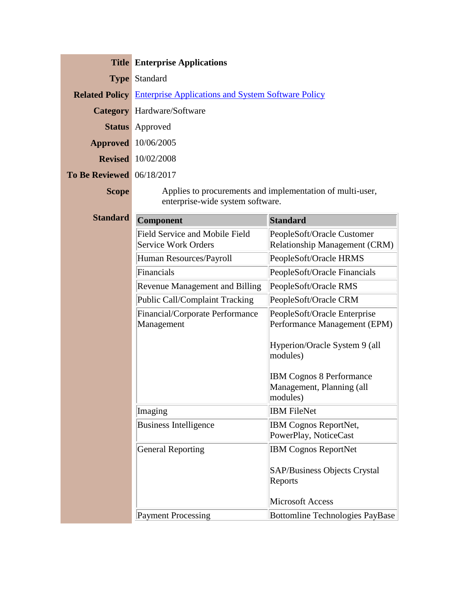|                                  | <b>Title Enterprise Applications</b>                                     |  |
|----------------------------------|--------------------------------------------------------------------------|--|
|                                  | <b>Type Standard</b>                                                     |  |
|                                  | <b>Related Policy</b> Enterprise Applications and System Software Policy |  |
|                                  | <b>Category</b> Hardware/Software                                        |  |
|                                  | <b>Status</b> Approved                                                   |  |
|                                  | <b>Approved</b> 10/06/2005                                               |  |
|                                  | <b>Revised</b> 10/02/2008                                                |  |
| <b>To Be Reviewed</b> 06/18/2017 |                                                                          |  |
| <b>Scope</b>                     | Applies to procurements and implementation of multi-user,                |  |

enterprise-wide system software.

| <b>Standard</b> | Component                                                           | <b>Standard</b>                                                          |
|-----------------|---------------------------------------------------------------------|--------------------------------------------------------------------------|
|                 | <b>Field Service and Mobile Field</b><br><b>Service Work Orders</b> | PeopleSoft/Oracle Customer<br><b>Relationship Management (CRM)</b>       |
|                 | Human Resources/Payroll                                             | PeopleSoft/Oracle HRMS                                                   |
|                 | Financials                                                          | PeopleSoft/Oracle Financials                                             |
|                 | <b>Revenue Management and Billing</b>                               | PeopleSoft/Oracle RMS                                                    |
|                 | <b>Public Call/Complaint Tracking</b>                               | PeopleSoft/Oracle CRM                                                    |
|                 | Financial/Corporate Performance<br>Management                       | PeopleSoft/Oracle Enterprise<br>Performance Management (EPM)             |
|                 |                                                                     | Hyperion/Oracle System 9 (all<br>modules)                                |
|                 |                                                                     | <b>IBM Cognos 8 Performance</b><br>Management, Planning (all<br>modules) |
|                 | Imaging                                                             | <b>IBM FileNet</b>                                                       |
|                 | <b>Business Intelligence</b>                                        | IBM Cognos ReportNet,<br>PowerPlay, NoticeCast                           |
|                 | <b>General Reporting</b>                                            | <b>IBM Cognos ReportNet</b>                                              |
|                 |                                                                     | <b>SAP/Business Objects Crystal</b><br>Reports                           |
|                 |                                                                     | <b>Microsoft Access</b>                                                  |
|                 | <b>Payment Processing</b>                                           | <b>Bottomline Technologies PayBase</b>                                   |